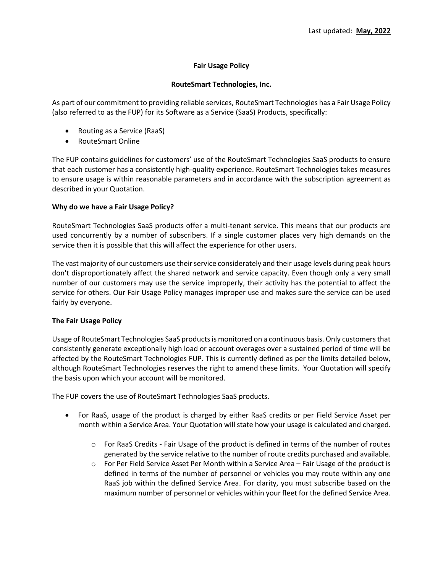# **Fair Usage Policy**

## **RouteSmart Technologies, Inc.**

As part of our commitment to providing reliable services, RouteSmart Technologies has a Fair Usage Policy (also referred to as the FUP) for its Software as a Service (SaaS) Products, specifically:

- Routing as a Service (RaaS)
- RouteSmart Online

The FUP contains guidelines for customers' use of the RouteSmart Technologies SaaS products to ensure that each customer has a consistently high-quality experience. RouteSmart Technologies takes measures to ensure usage is within reasonable parameters and in accordance with the subscription agreement as described in your Quotation.

### **Why do we have a Fair Usage Policy?**

RouteSmart Technologies SaaS products offer a multi-tenant service. This means that our products are used concurrently by a number of subscribers. If a single customer places very high demands on the service then it is possible that this will affect the experience for other users.

The vast majority of our customers use their service considerately and their usage levels during peak hours don't disproportionately affect the shared network and service capacity. Even though only a very small number of our customers may use the service improperly, their activity has the potential to affect the service for others. Our Fair Usage Policy manages improper use and makes sure the service can be used fairly by everyone.

## **The Fair Usage Policy**

Usage of RouteSmart Technologies SaaS products is monitored on a continuous basis. Only customers that consistently generate exceptionally high load or account overages over a sustained period of time will be affected by the RouteSmart Technologies FUP. This is currently defined as per the limits detailed below, although RouteSmart Technologies reserves the right to amend these limits. Your Quotation will specify the basis upon which your account will be monitored.

The FUP covers the use of RouteSmart Technologies SaaS products.

- For RaaS, usage of the product is charged by either RaaS credits or per Field Service Asset per month within a Service Area. Your Quotation will state how your usage is calculated and charged.
	- o For RaaS Credits Fair Usage of the product is defined in terms of the number of routes generated by the service relative to the number of route credits purchased and available.
	- $\circ$  For Per Field Service Asset Per Month within a Service Area Fair Usage of the product is defined in terms of the number of personnel or vehicles you may route within any one RaaS job within the defined Service Area. For clarity, you must subscribe based on the maximum number of personnel or vehicles within your fleet for the defined Service Area.